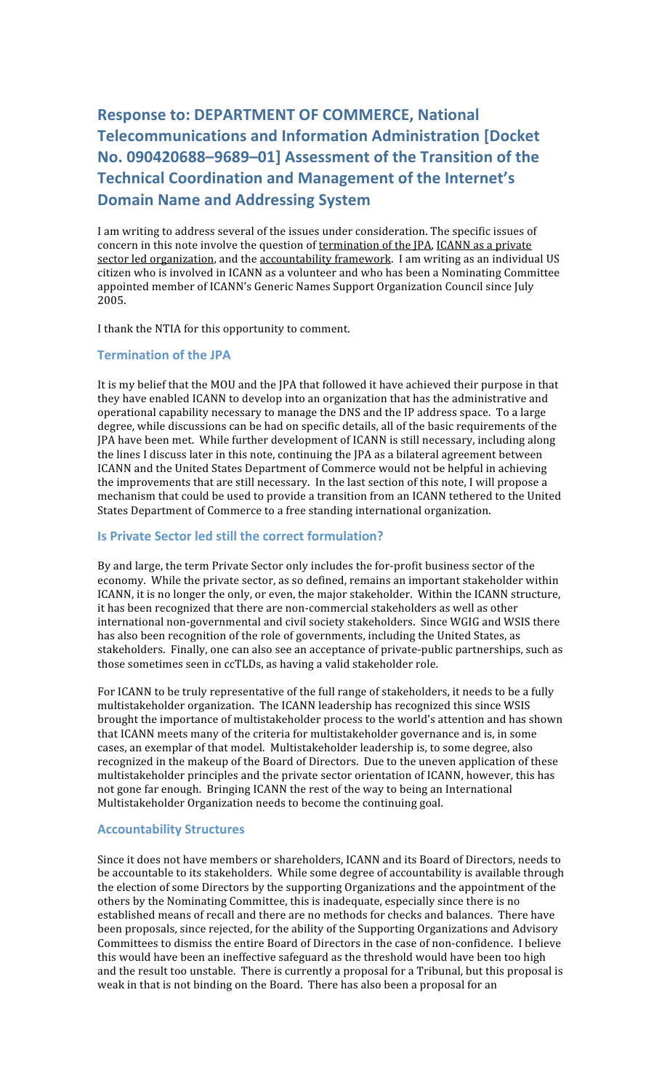# **Response
to:
DEPARTMENT
OF
COMMERCE,
National Telecommunications
and
Information
Administration
[Docket No.
090420688–9689–01] Assessment
of
the
Transition
of
the Technical
Coordination
and
Management
of
the
Internet's Domain
Name
and
Addressing
System**

I am writing to address several of the issues under consideration. The specific issues of concern in this note involve the question of termination of the JPA, ICANN as a private sector led organization, and the accountability framework. I am writing as an individual US citizen who is involved in ICANN as a volunteer and who has been a Nominating Committee appointed
member
of
ICANN's
Generic
Names
Support
Organization
Council
since
July 2005.

I thank the NTIA for this opportunity to comment.

### **Termination
of
the
JPA**

It is my belief that the MOU and the JPA that followed it have achieved their purpose in that they have enabled ICANN to develop into an organization that has the administrative and operational capability necessary to manage the DNS and the IP address space. To a large degree, while discussions can be had on specific details, all of the basic requirements of the IPA have been met. While further development of ICANN is still necessary, including along the lines I discuss later in this note, continuing the JPA as a bilateral agreement between ICANN and the United States Department of Commerce would not be helpful in achieving the improvements that are still necessary. In the last section of this note, I will propose a mechanism that could be used to provide a transition from an ICANN tethered to the United States Department of Commerce to a free standing international organization.

## **Is
Private
Sector
led
still
the
correct
formulation?**

By and large, the term Private Sector only includes the for-profit business sector of the economy. While the private sector, as so defined, remains an important stakeholder within ICANN, it is no longer the only, or even, the major stakeholder. Within the ICANN structure, it has been recognized that there are non-commercial stakeholders as well as other international
non‐governmental and
civil
society
stakeholders.

Since
WGIG
and
WSIS
there has also been recognition of the role of governments, including the United States, as stakeholders. Finally, one can also see an acceptance of private-public partnerships, such as those
sometimes
seen
in
ccTLDs,
as
having
a
valid
stakeholder
role.

For ICANN to be truly representative of the full range of stakeholders, it needs to be a fully multistakeholder
organization.

The
ICANN
leadership has
recognized
this
since
WSIS brought
the
importance
of
multistakeholder
process
to
the
world's
attention
and
has
shown that ICANN meets many of the criteria for multistakeholder governance and is, in some cases,
an
exemplar
of
that
model.

Multistakeholder
leadership
is,
to
some
degree,
also recognized in the makeup of the Board of Directors. Due to the uneven application of these multistakeholder principles and the private sector orientation of ICANN, however, this has not
gone
far
enough.

Bringing
ICANN
the
rest
of
the
way
to
being
an
International Multistakeholder
Organization
needs
to
become
the
continuing
goal.

### **Accountability
Structures**

Since it does not have members or shareholders, ICANN and its Board of Directors, needs to be accountable to its stakeholders. While some degree of accountability is available through the
election
of
some
Directors
by
the
supporting
Organizations
and
the
appointment
of
the others
by
the
Nominating
Committee,
this
is
inadequate,
especially
since
there
is
no established
means
of
recall
and
there
are
no
methods
for
checks
and
balances.

There
have been proposals, since rejected, for the ability of the Supporting Organizations and Advisory Committees
to
dismiss
the
entire
Board
of
Directors
in
the
case
of
non‐confidence.

I
believe this would have been an ineffective safeguard as the threshold would have been too high and the result too unstable. There is currently a proposal for a Tribunal, but this proposal is weak in that is not binding on the Board. There has also been a proposal for an